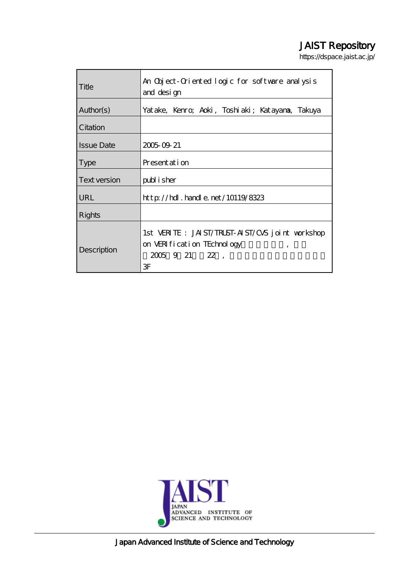#### JAIST Repository

https://dspace.jaist.ac.jp/

| Title             | An Object-Oriented logic for software analysis<br>and design                                                             |
|-------------------|--------------------------------------------------------------------------------------------------------------------------|
| Author(s)         | Yatake, Kenro, Aoki, Toshiaki; Katayana, Takuya                                                                          |
| Citation          |                                                                                                                          |
| <b>Issue Date</b> | 2005 09 21                                                                                                               |
| <b>Type</b>       | Presentation                                                                                                             |
| Text version      | publisher                                                                                                                |
| <b>URL</b>        | $\frac{\text{http}}{\text{dtpt}}$ . handle. net/10119/8323                                                               |
| Rights            |                                                                                                                          |
| Description       | 1st $\overline{MR}$ TE: JAIST/TRUST-AIST/CVS joint workshop<br>on VERI fication TEchnology<br>,<br>$2005$ 9 21 22,<br>ЗF |



Japan Advanced Institute of Science and Technology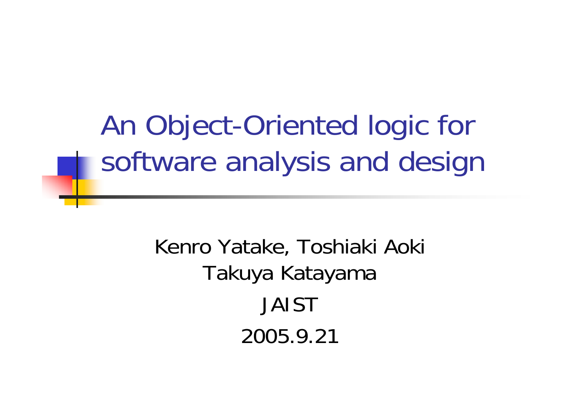An Object-Oriented logic for software analysis and design

> Kenro Yatake, Toshiaki Aoki Takuya Katayama JAIST2005.9.21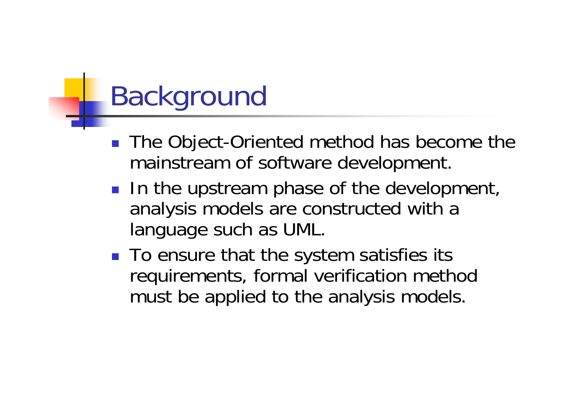# Background

- $\mathbb{R}^2$  The Object-Oriented method has become the mainstream of software development.
- **In the upstream phase of the development,** analysis models are constructed with a language such as UML.
- To ensure that the system satisfies its requirements, formal verification method must be applied to the analysis models.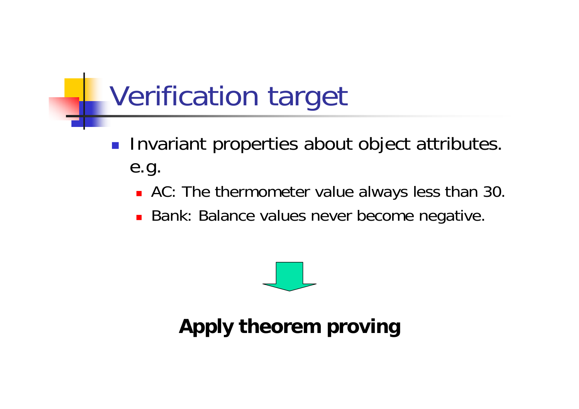# Verification target

- $\mathcal{L}_{\mathcal{A}}$  Invariant properties about object attributes. e.g.
	- AC: The thermometer value always less than 30.
	- **Bank: Balance values never become negative.**



#### **Apply theorem proving**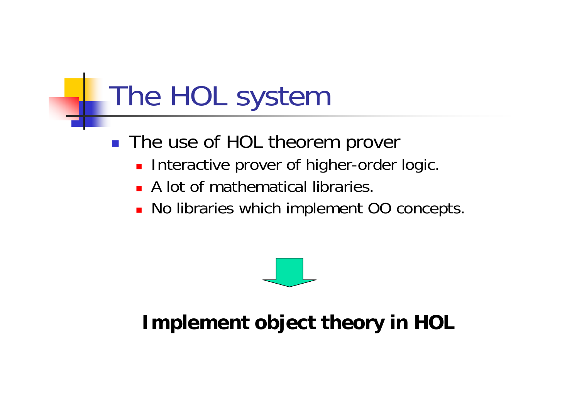# The HOL system

- The use of HOL theorem prover
	- m, Interactive prover of higher-order logic.
	- **A** lot of mathematical libraries.
	- No libraries which implement OO concepts.



#### **Implement object theory in HOL**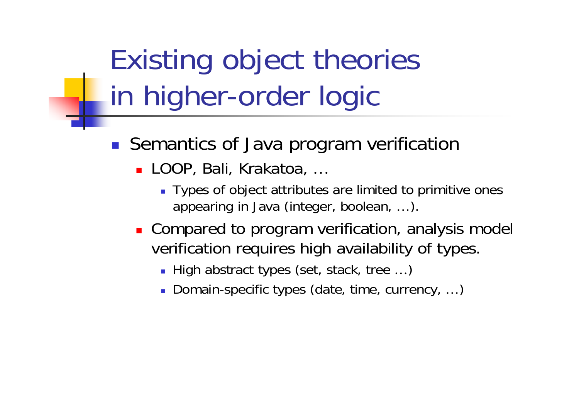Existing object theories in higher-order logic

- **Semantics of Java program verification** 
	- LOOP, Bali, Krakatoa, …
		- Types of object attributes are limited to primitive ones appearing in Java (integer, boolean, …).
	- **Compared to program verification, analysis model** verification requires high availability of types.
		- High abstract types (set, stack, tree ...)
		- Domain-specific types (date, time, currency, ...)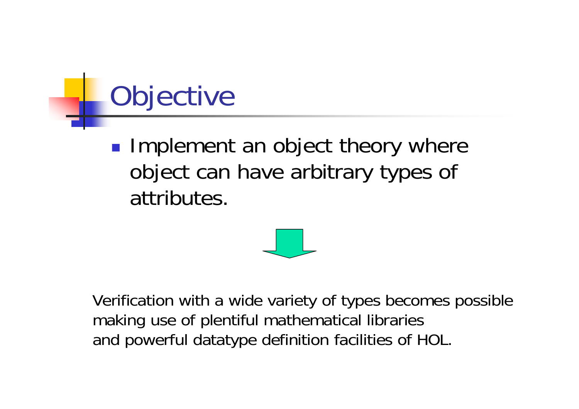# **Objective**

**Implement an object theory where** object can have arbitrary types of attributes.



Verification with a wide variety of types becomes possible making use of plentiful mathematical libraries and powerful datatype definition facilities of HOL.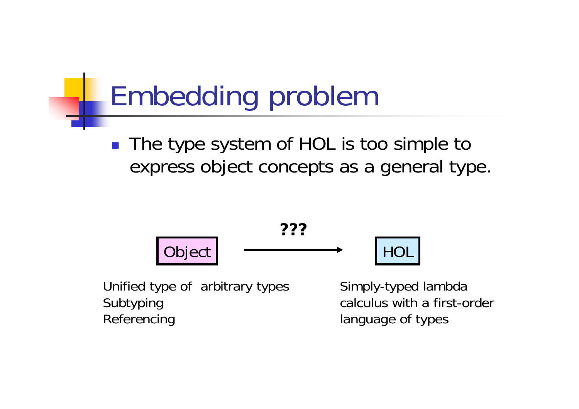# Embedding problem

■ The type system of HOL is too simple to express object concepts as a general type.



Unified type of arbitrary types Subtyping Referencing

Simply-typed lambda calculus with a first-order language of types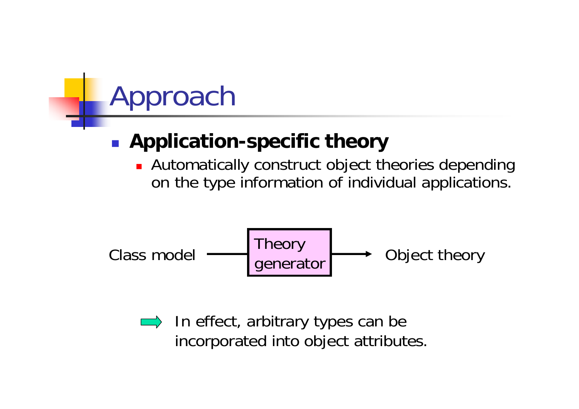# **Approach**

#### $\mathbb{R}^2$ **Application-specific theory**

**Automatically construct object theories depending** on the type information of individual applications.

Theory generator Class model Object theory

 $\implies$  In effect, arbitrary types can be incorporated into object attributes.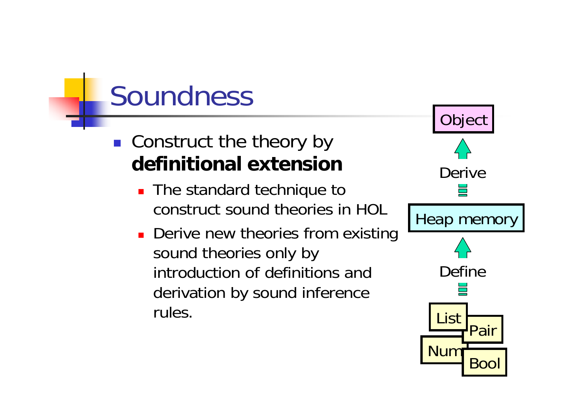#### Soundness

- **Construct the theory by definitional extension**
	- **The standard technique to** construct sound theories in HOL
	- **Derive new theories from existing** sound theories only by introduction of definitions and derivation by sound inference rules.

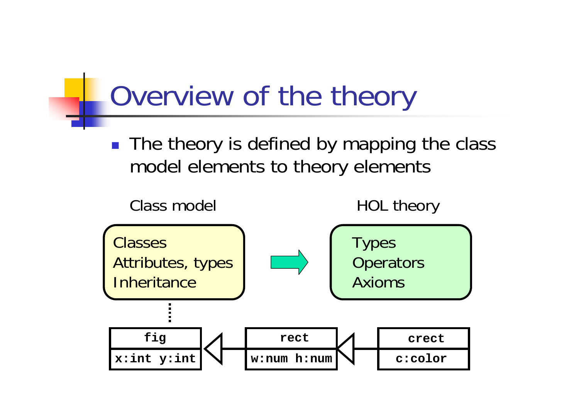# Overview of the theory

■ The theory is defined by mapping the class model elements to theory elements

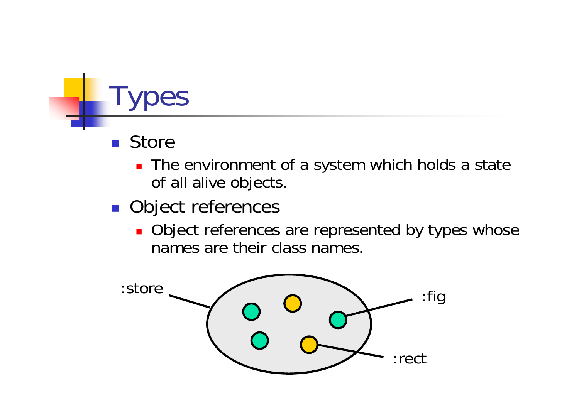## **pes**

- $\mathbb{R}^2$ **Store** 
	- The environment of a system which holds a state of all alive objects.
- **Object references** 
	- **Diect references are represented by types whose** names are their class names.

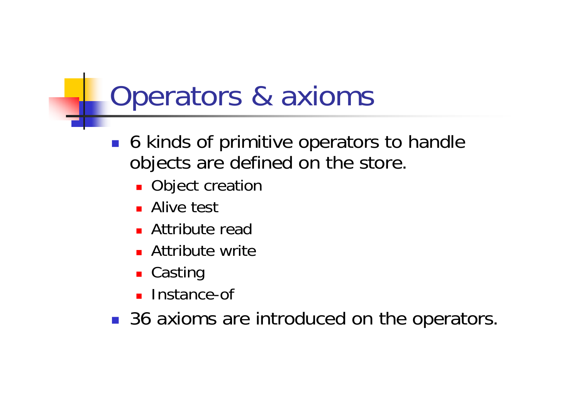#### Operators & axioms

- $\mathcal{L}^{\text{eff}}$  6 kinds of primitive operators to handle objects are defined on the store.
	- **Object creation**
	- Alive test
	- Attribute read
	- **Attribute write**
	- Casting
	- П Instance-of

■ 36 axioms are introduced on the operators.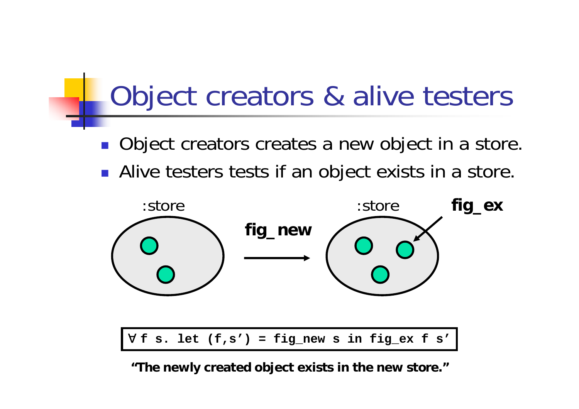#### Object creators & alive testers

- **Object creators creates a new object in a store.**
- **Alive testers tests if an object exists in a store.**



**"The newly created object exists in the new store."**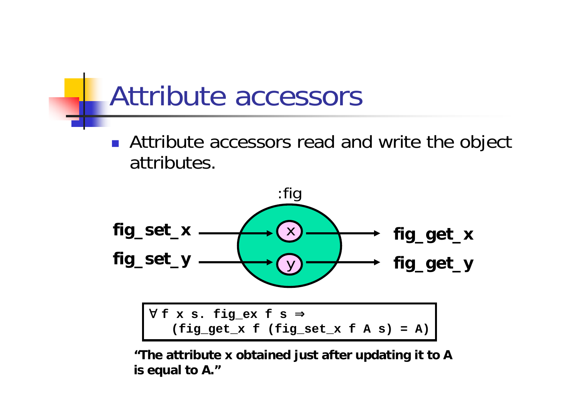#### Attribute accessors

 $\mathbb{R}^2$  Attribute accessors read and write the object attributes.



**"The attribute x obtained just after updating it to A is equal to A."**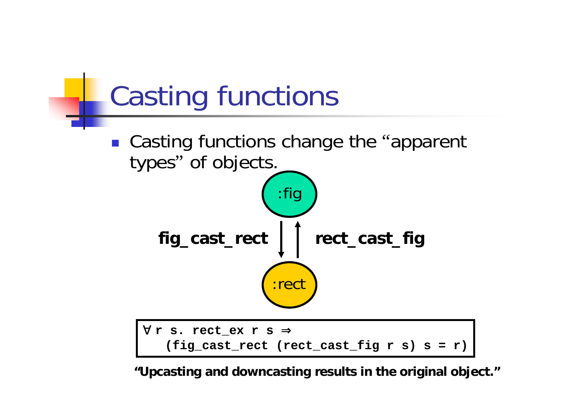

**"Upcasting and downcas ting results in the original object."**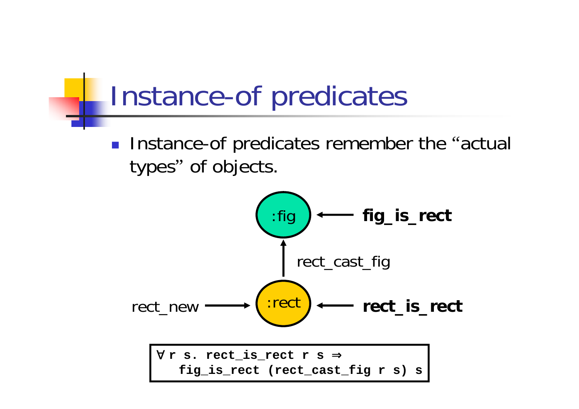#### Instance-of predicates

 $\mathcal{L}^{\text{max}}_{\text{max}}$ **Instance-of predicates remember the "actual** types" of objects.

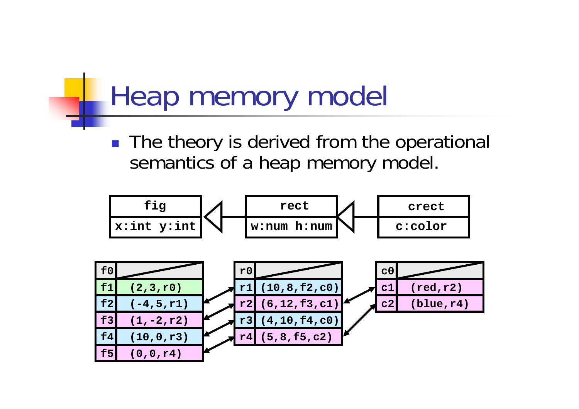#### Heap memory model

**The theory is derived from the operational** semantics of a heap memory model.

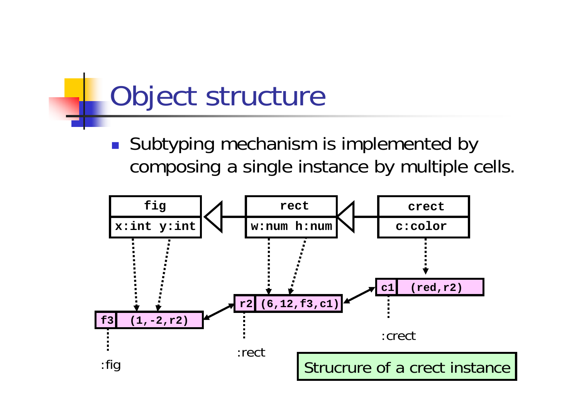#### Object structure

 $\mathcal{L}^{\text{max}}_{\text{max}}$ ■ Subtyping mechanism is implemented by composing a single instance by multiple cells.

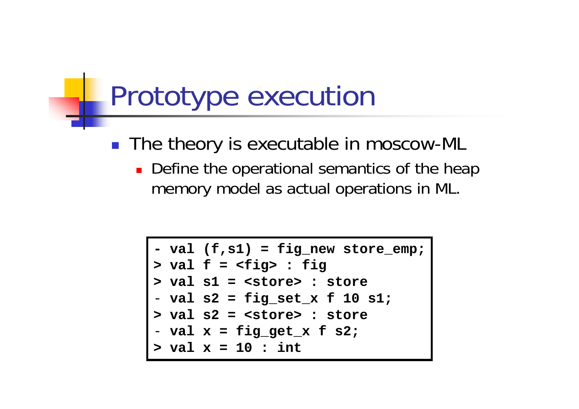#### Prototype execution

- The theory is executable in moscow-ML
	- **Define the operational semantics of the heap** memory model as actual operations in ML.

```
- val (f,s1) = fig_new store_emp;
> val f = <fig> : fig
> val s1 = <store> : store
- val s2 = fig_set_x f 10 s1;
> val s2 = <store> : store
- val x = fig_get_x f s2;
> val x = 10 : int
```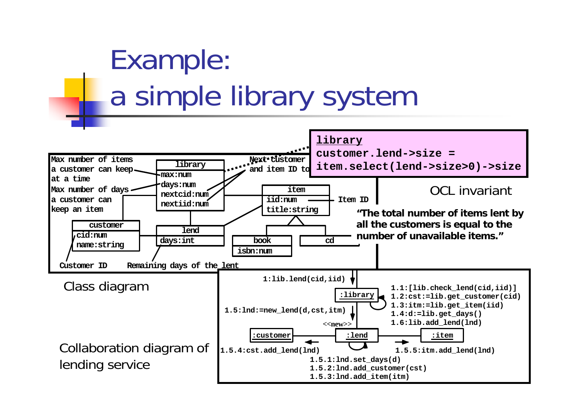# Example: a simple library system

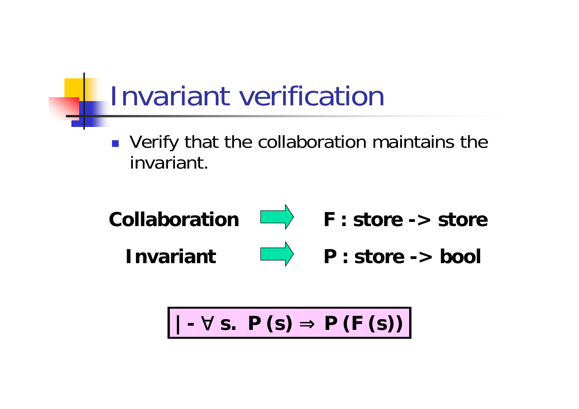#### Invariant verification

**• Verify that the collaboration maintains the** invariant.



$$
|- \quad s. \quad P(s) \quad P(F(s))
$$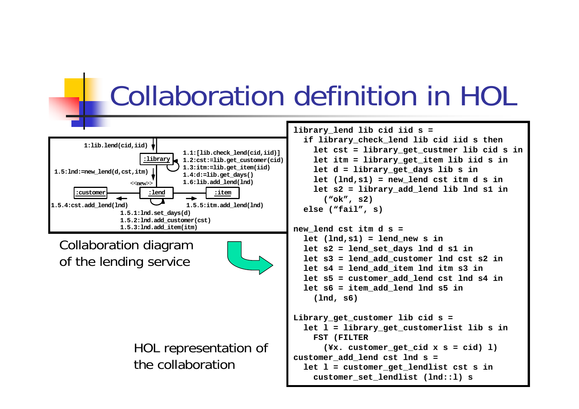#### Collaboration definition in HOL



Collaboration diagram of the lending service



HOL representation of the collaboration

**library\_lend lib cid iid s = if library\_check\_lend lib cid iid s then let cst = library\_get\_custmer lib cid s in let itm = library\_get\_item lib iid s in let d = library\_get\_days lib s in let (lnd,s1) = new\_lend cst itm d s in let s2 = library\_add\_lend lib lnd s1 in ("ok", s2) else ("fail", s)**

```
new_lend cst itm d s =
  let (lnd,s1) = lend_new s in
  let s2 = lend_set_days lnd
d s1 in
  let s3 = lend_add_custome
r lnd cst s2 in
  let s4 = lend_add_item lnd itm s3 in
  let s5 = customer_add_len
d cst lnd s4 in
  let s6 = item_add_lend lnd s5 in
    (lnd, s6)
```

```
Library_get_customer lib cid s =
  let l = library_get_customerlist lib s in
    FST (FILTER 
      (¥x. customer_get_cid x s = cid) l)
customer_add_lend cst lnd s =
  let l = customer_get_lendlist cst s in
    customer_set_lendlist (lnd::l) s
```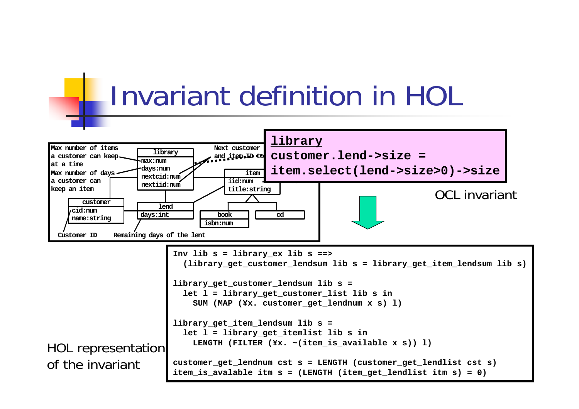



HOL representation of the invariant**Inv lib s = library\_ex lib s ==> (library\_get\_customer\_lendsum lib s = library\_get\_item\_lendsum lib s) library\_get\_customer\_lendsum lib s = let l = library\_get\_customer\_list lib s in SUM (MAP (¥x. customer\_get\_lendnum x s) l) library\_get\_item\_lendsum lib s = let l = library\_get\_itemlist lib s in LENGTH (FILTER (¥x. ~(item\_is\_available x s)) l) customer\_get\_lendnum cst s = LENGTH (customer\_get\_lendlist cst s) item\_is\_avalable itm s = (LENGTH (item\_get\_lendlist itm s) = 0)**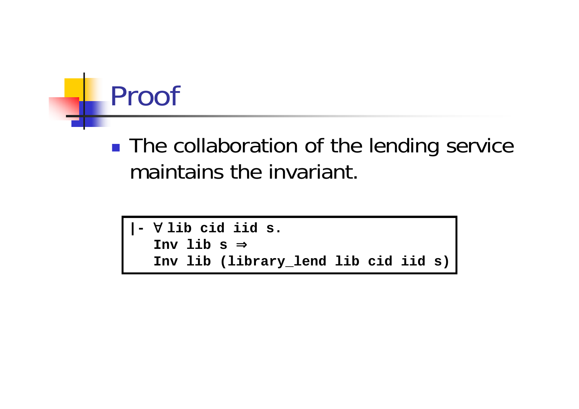

**The collaboration of the lending service** maintains the invariant.

```
|- ∀lib cid iid s. 
Inv lib s ⇒Inv lib (library_lend lib cid iid s)
```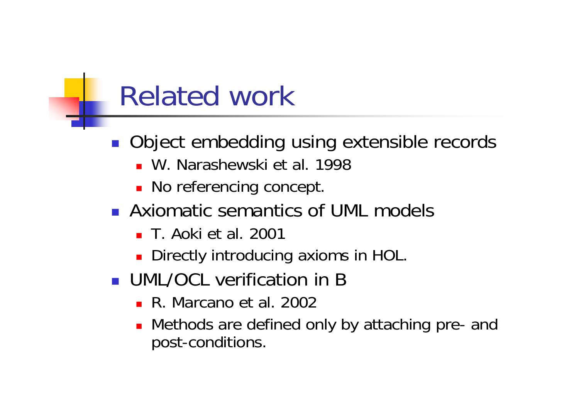#### Related work

- **Object embedding using extensible records** 
	- W. Narashewski et al. 1998
	- **No referencing concept.**
- **Axiomatic semantics of UML models** 
	- T. Aoki et al. 2001
	- **Directly introducing axioms in HOL.**
- **UML/OCL verification in B** 
	- R. Marcano et al. 2002
	- Methods are defined only by attaching pre- and post-conditions.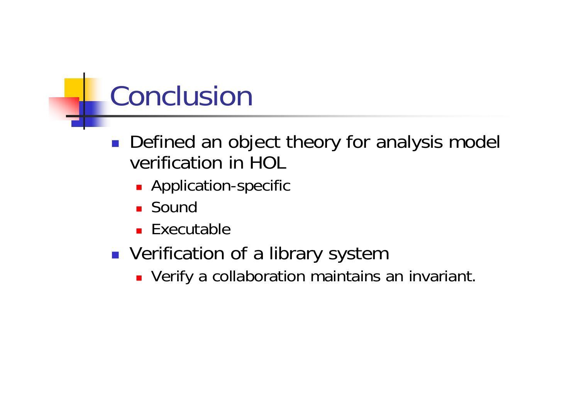### Conclusion

- $\mathcal{L}_{\mathcal{A}}$  Defined an object theory for analysis model verification in HOL
	- **Application-specific**
	- Sound
	- Executable
- **DED Verification of a library system** 
	- **DEPTANA TE Verify a collaboration maintains an invariant.**